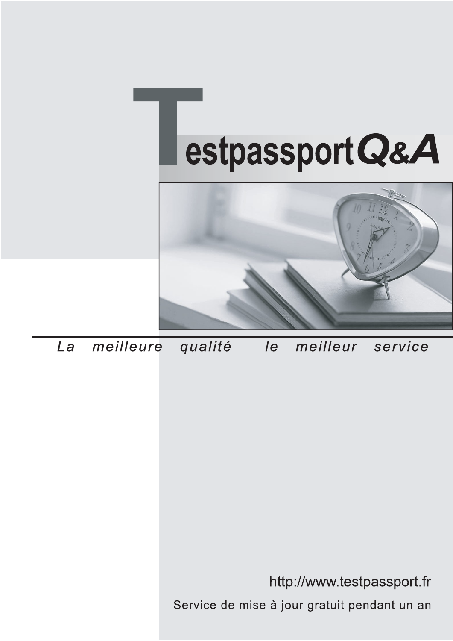



meilleure La qualité  $\overline{e}$ meilleur service

http://www.testpassport.fr

Service de mise à jour gratuit pendant un an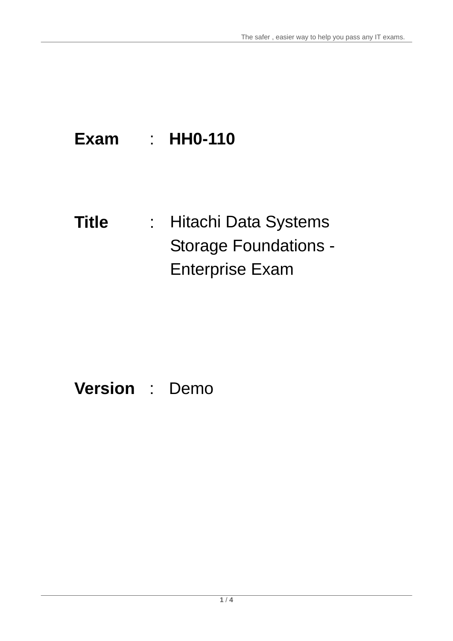# **Exam** : **HH0-110**

**Title** : Hitachi Data Systems Storage Foundations - Enterprise Exam

# **Version** : Demo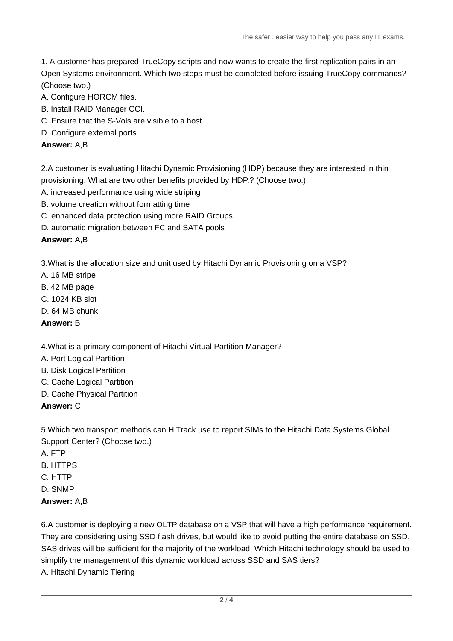The safer , easier way to help you pass any IT exams.

1. A customer has prepared TrueCopy scripts and now wants to create the first replication pairs in an Open Systems environment. Which two steps must be completed before issuing TrueCopy commands? (Choose two.)

- A. Configure HORCM files.
- B. Install RAID Manager CCI.
- C. Ensure that the S-Vols are visible to a host.
- D. Configure external ports.

#### **Answer:** A,B

2.A customer is evaluating Hitachi Dynamic Provisioning (HDP) because they are interested in thin provisioning. What are two other benefits provided by HDP.? (Choose two.)

- A. increased performance using wide striping
- B. volume creation without formatting time
- C. enhanced data protection using more RAID Groups
- D. automatic migration between FC and SATA pools

#### **Answer:** A,B

3.What is the allocation size and unit used by Hitachi Dynamic Provisioning on a VSP?

- A. 16 MB stripe
- B. 42 MB page
- C. 1024 KB slot
- D. 64 MB chunk
- **Answer:** B

#### 4.What is a primary component of Hitachi Virtual Partition Manager?

- A. Port Logical Partition
- B. Disk Logical Partition
- C. Cache Logical Partition
- D. Cache Physical Partition

#### **Answer:** C

5.Which two transport methods can HiTrack use to report SIMs to the Hitachi Data Systems Global Support Center? (Choose two.)

- A. FTP
- B. HTTPS
- C. HTTP
- D. SNMP

#### **Answer:** A,B

6.A customer is deploying a new OLTP database on a VSP that will have a high performance requirement. They are considering using SSD flash drives, but would like to avoid putting the entire database on SSD. SAS drives will be sufficient for the majority of the workload. Which Hitachi technology should be used to simplify the management of this dynamic workload across SSD and SAS tiers? A. Hitachi Dynamic Tiering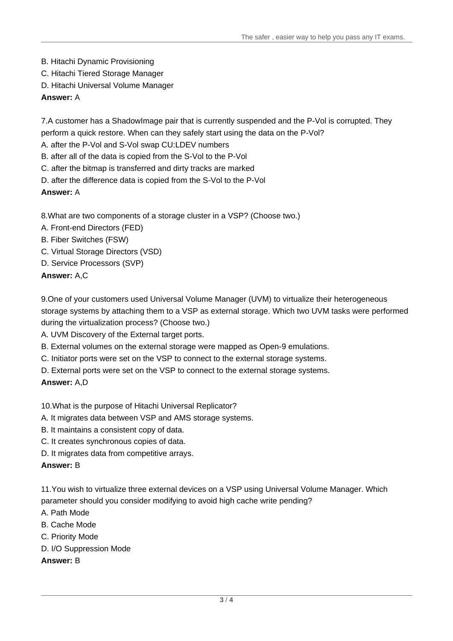- B. Hitachi Dynamic Provisioning
- C. Hitachi Tiered Storage Manager
- D. Hitachi Universal Volume Manager

#### **Answer:** A

7.A customer has a ShadowImage pair that is currently suspended and the P-Vol is corrupted. They perform a quick restore. When can they safely start using the data on the P-Vol?

A. after the P-Vol and S-Vol swap CU:LDEV numbers

B. after all of the data is copied from the S-Vol to the P-Vol

C. after the bitmap is transferred and dirty tracks are marked

D. after the difference data is copied from the S-Vol to the P-Vol

#### **Answer:** A

8.What are two components of a storage cluster in a VSP? (Choose two.)

- A. Front-end Directors (FED)
- B. Fiber Switches (FSW)
- C. Virtual Storage Directors (VSD)
- D. Service Processors (SVP)

**Answer:** A,C

9.One of your customers used Universal Volume Manager (UVM) to virtualize their heterogeneous storage systems by attaching them to a VSP as external storage. Which two UVM tasks were performed during the virtualization process? (Choose two.)

- A. UVM Discovery of the External target ports.
- B. External volumes on the external storage were mapped as Open-9 emulations.
- C. Initiator ports were set on the VSP to connect to the external storage systems.
- D. External ports were set on the VSP to connect to the external storage systems.

#### **Answer:** A,D

#### 10.What is the purpose of Hitachi Universal Replicator?

- A. It migrates data between VSP and AMS storage systems.
- B. It maintains a consistent copy of data.
- C. It creates synchronous copies of data.
- D. It migrates data from competitive arrays.

#### **Answer:** B

11.You wish to virtualize three external devices on a VSP using Universal Volume Manager. Which parameter should you consider modifying to avoid high cache write pending?

- A. Path Mode
- B. Cache Mode
- C. Priority Mode
- D. I/O Suppression Mode
- **Answer:** B